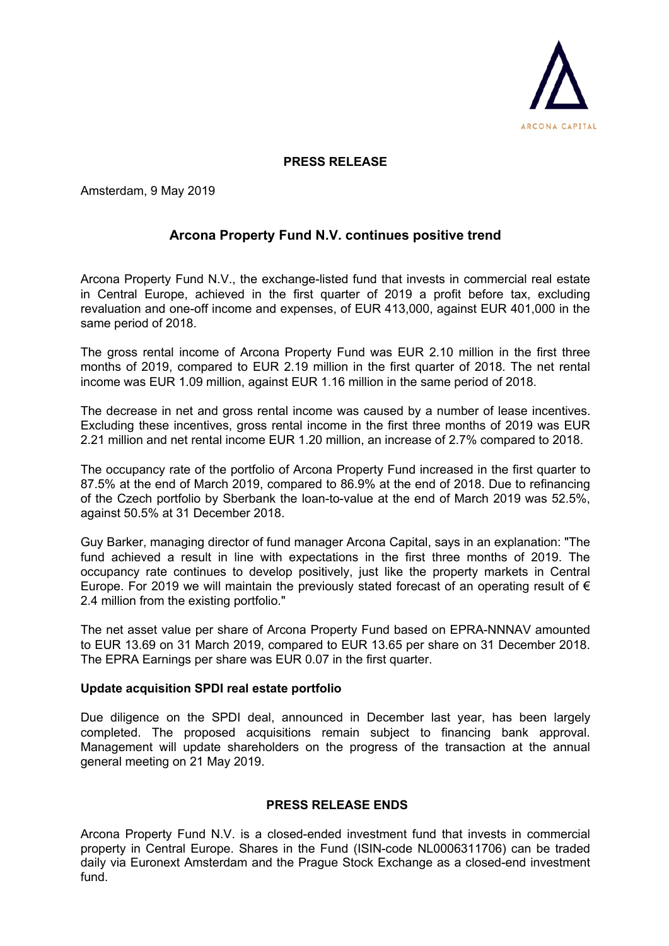

## **PRESS RELEASE**

Amsterdam, 9 May 2019

## **Arcona Property Fund N.V. continues positive trend**

Arcona Property Fund N.V., the exchange-listed fund that invests in commercial real estate in Central Europe, achieved in the first quarter of 2019 a profit before tax, excluding revaluation and one-off income and expenses, of EUR 413,000, against EUR 401,000 in the same period of 2018.

The gross rental income of Arcona Property Fund was EUR 2.10 million in the first three months of 2019, compared to EUR 2.19 million in the first quarter of 2018. The net rental income was EUR 1.09 million, against EUR 1.16 million in the same period of 2018.

The decrease in net and gross rental income was caused by a number of lease incentives. Excluding these incentives, gross rental income in the first three months of 2019 was EUR 2.21 million and net rental income EUR 1.20 million, an increase of 2.7% compared to 2018.

The occupancy rate of the portfolio of Arcona Property Fund increased in the first quarter to 87.5% at the end of March 2019, compared to 86.9% at the end of 2018. Due to refinancing of the Czech portfolio by Sberbank the loan-to-value at the end of March 2019 was 52.5%, against 50.5% at 31 December 2018.

Guy Barker, managing director of fund manager Arcona Capital, says in an explanation: "The fund achieved a result in line with expectations in the first three months of 2019. The occupancy rate continues to develop positively, just like the property markets in Central Europe. For 2019 we will maintain the previously stated forecast of an operating result of  $\epsilon$ 2.4 million from the existing portfolio."

The net asset value per share of Arcona Property Fund based on EPRA-NNNAV amounted to EUR 13.69 on 31 March 2019, compared to EUR 13.65 per share on 31 December 2018. The EPRA Earnings per share was EUR 0.07 in the first quarter.

## **Update acquisition SPDI real estate portfolio**

Due diligence on the SPDI deal, announced in December last year, has been largely completed. The proposed acquisitions remain subject to financing bank approval. Management will update shareholders on the progress of the transaction at the annual general meeting on 21 May 2019.

## **PRESS RELEASE ENDS**

Arcona Property Fund N.V. is a closed-ended investment fund that invests in commercial property in Central Europe. Shares in the Fund (ISIN-code NL0006311706) can be traded daily via Euronext Amsterdam and the Prague Stock Exchange as a closed-end investment fund.